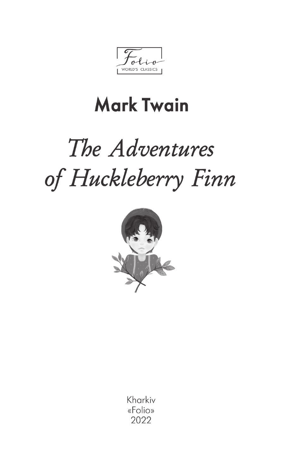WORLD'S CLASSICS

## **Mark Twain**

# The Adventures of Huckleberry Finn



Kharkiv «Folio» 2022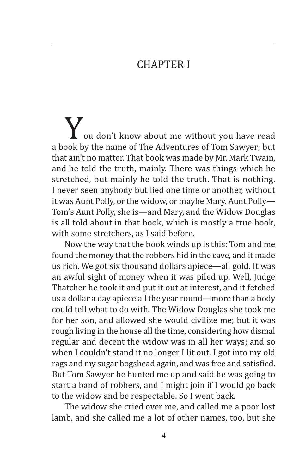#### **CHAPTER I**

You don't know about me without you have read a book by the name of The Adventures of Tom Sawyer; but that ain't no matter. That book was made by Mr. Mark Twain, and he told the truth, mainly. There was things which he stretched, but mainly he told the truth. That is nothing. I never seen anybody but lied one time or another, without it was Aunt Polly, or the widow, or maybe Mary. Aunt Polly— Tom's Aunt Polly, she is—and Mary, and the Widow Douglas is all told about in that book, which is mostly a true book, with some stretchers, as I said before.

Now the way that the book winds up is this: Tom and me found the money that the robbers hid in the cave, and it made us rich. We got six thousand dollars apiece—all gold. It was an awful sight of money when it was piled up. Well, Judge Thatcher he took it and put it out at interest, and it fetched us a dollar a day apiece all the year round—more than a body could tell what to do with. The Widow Douglas she took me for her son, and allowed she would civilize me; but it was rough living in the house all the time, considering how dismal regular and decent the widow was in all her ways; and so when I couldn't stand it no longer I lit out. I got into my old rags and my sugar hogshead again, and was free and satisfied. But Tom Sawyer he hunted me up and said he was going to start a band of robbers, and I might join if I would go back to the widow and be respectable. So I went back.

The widow she cried over me, and called me a poor lost lamb, and she called me a lot of other names, too, but she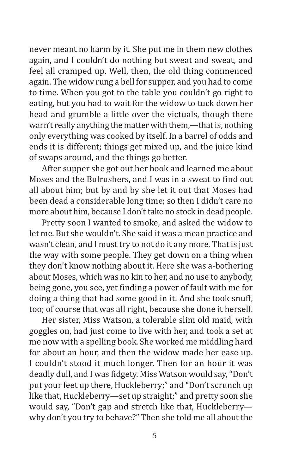never meant no harm by it. She put me in them new clothes again, and I couldn't do nothing but sweat and sweat, and feel all cramped up. Well, then, the old thing commenced again. The widow rung a bell for supper, and you had to come to time. When you got to the table you couldn't go right to eating, but you had to wait for the widow to tuck down her head and grumble a little over the victuals, though there warn't really anything the matter with them,—that is, nothing only everything was cooked by itself. In a barrel of odds and ends it is different; things get mixed up, and the juice kind of swaps around, and the things go better.

After supper she got out her book and learned me about Moses and the Bulrushers, and I was in a sweat to find out all about him; but by and by she let it out that Moses had been dead a considerable long time; so then I didn't care no more about him, because I don't take no stock in dead people.

Pretty soon I wanted to smoke, and asked the widow to let me. But she wouldn't. She said it was a mean practice and wasn't clean, and I must try to not do it any more. That is just the way with some people. They get down on a thing when they don't know nothing about it. Here she was a-bothering about Moses, which was no kin to her, and no use to anybody, being gone, you see, yet finding a power of fault with me for doing a thing that had some good in it. And she took snuff, too; of course that was all right, because she done it herself.

Her sister, Miss Watson, a tolerable slim old maid, with goggles on, had just come to live with her, and took a set at me now with a spelling book. She worked me middling hard for about an hour, and then the widow made her ease up. I couldn't stood it much longer. Then for an hour it was deadly dull, and I was fidgety. Miss Watson would say, "Don't put your feet up there, Huckleberry;" and "Don't scrunch up like that, Huckleberry—set up straight;" and pretty soon she would say, "Don't gap and stretch like that, Huckleberry why don't you try to behave?" Then she told me all about the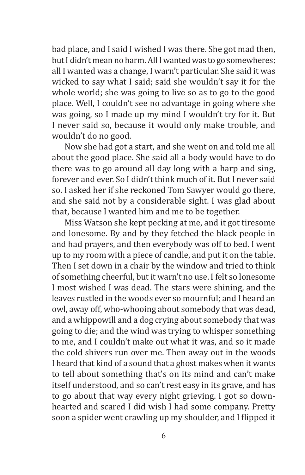bad place, and I said I wished I was there. She got mad then, but I didn't mean no harm. All I wanted was to go somewheres; all I wanted was a change, I warn't particular. She said it was wicked to say what I said; said she wouldn't say it for the whole world; she was going to live so as to go to the good place. Well, I couldn't see no advantage in going where she was going, so I made up my mind I wouldn't try for it. But I never said so, because it would only make trouble, and wouldn't do no good.

Now she had got a start, and she went on and told me all about the good place. She said all a body would have to do there was to go around all day long with a harp and sing, forever and ever. So I didn't think much of it. But I never said so. I asked her if she reckoned Tom Sawyer would go there, and she said not by a considerable sight. I was glad about that, because I wanted him and me to be together.

Miss Watson she kept pecking at me, and it got tiresome and lonesome. By and by they fetched the black people in and had prayers, and then everybody was off to bed. I went up to my room with a piece of candle, and put it on the table. Then I set down in a chair by the window and tried to think of something cheerful, but it warn't no use. I felt so lonesome I most wished I was dead. The stars were shining, and the leaves rustled in the woods ever so mournful; and I heard an owl, away off, who-whooing about somebody that was dead, and a whippowill and a dog crying about somebody that was going to die; and the wind was trying to whisper something to me, and I couldn't make out what it was, and so it made the cold shivers run over me. Then away out in the woods I heard that kind of a sound that a ghost makes when it wants to tell about something that's on its mind and can't make itself understood, and so can't rest easy in its grave, and has to go about that way every night grieving. I got so downhearted and scared I did wish I had some company. Pretty soon a spider went crawling up my shoulder, and I flipped it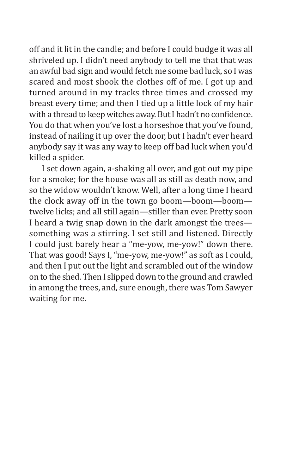off and it lit in the candle; and before I could budge it was all shriveled up. I didn't need anybody to tell me that that was an awful bad sign and would fetch me some bad luck, so I was scared and most shook the clothes off of me. I got up and turned around in my tracks three times and crossed my breast every time; and then I tied up a little lock of my hair with a thread to keep witches away. But I hadn't no confidence. You do that when you've lost a horseshoe that you've found, instead of nailing it up over the door, but I hadn't ever heard anybody say it was any way to keep off bad luck when you'd killed a spider.

I set down again, a-shaking all over, and got out my pipe for a smoke; for the house was all as still as death now, and so the widow wouldn't know. Well, after a long time I heard the clock away off in the town go boom—boom—boom twelve licks; and all still again—stiller than ever. Pretty soon I heard a twig snap down in the dark amongst the trees something was a stirring. I set still and listened. Directly I could just barely hear a "me-yow, me-yow!" down there. That was good! Says I, "me-yow, me-yow!" as soft as I could, and then I put out the light and scrambled out of the window on to the shed. Then I slipped down to the ground and crawled in among the trees, and, sure enough, there was Tom Sawyer waiting for me.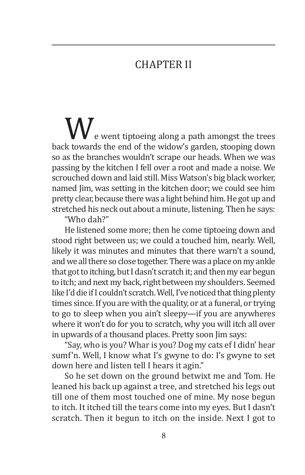#### **CHAPTER II**

**W**e went tiptoeing along a path amongst the trees back towards the end of the widow's garden, stooping down so as the branches wouldn't scrape our heads. When we was passing by the kitchen I fell over a root and made a noise. We scrouched down and laid still. Miss Watson's big black worker, named Jim, was setting in the kitchen door; we could see him pretty clear, because there was a light behind him. He got up and stretched his neck out about a minute, listening. Then he says:

"Who dah?"

He listened some more; then he come tiptoeing down and stood right between us; we could a touched him, nearly. Well, likely it was minutes and minutes that there warn't a sound, and we all there so close together. There was a place on my ankle that got to itching, but I dasn't scratch it; and then my ear begun to itch; and next my back, right between my shoulders. Seemed like I'd die if I couldn't scratch. Well, I've noticed that thing plenty times since. If you are with the quality, or at a funeral, or trying to go to sleep when you ain't sleepy—if you are anywheres where it won't do for you to scratch, why you will itch all over in upwards of a thousand places. Pretty soon Jim says:

"Say, who is you? Whar is you? Dog my cats ef I didn' hear sumf'n. Well, I know what I's gwyne to do: I's gwyne to set down here and listen tell I hears it agin."

So he set down on the ground betwixt me and Tom. He leaned his back up against a tree, and stretched his legs out till one of them most touched one of mine. My nose begun to itch. It itched till the tears come into my eyes. But I dasn't scratch. Then it begun to itch on the inside. Next I got to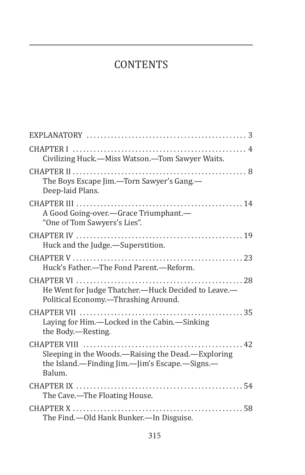### **CONTENTS**

| Civilizing Huck.-Miss Watson.-Tom Sawyer Waits.                                                                                                 |
|-------------------------------------------------------------------------------------------------------------------------------------------------|
| The Boys Escape Jim.-Torn Sawyer's Gang.-<br>Deep-laid Plans.                                                                                   |
| A Good Going-over.-Grace Triumphant.-<br>"One of Tom Sawyers's Lies".                                                                           |
| Huck and the Judge.-Superstition.                                                                                                               |
| Huck's Father.-The Fond Parent.-Reform.                                                                                                         |
| He Went for Judge Thatcher.-Huck Decided to Leave.-<br>Political Economy.-Thrashing Around.                                                     |
| Laying for Him.—Locked in the Cabin.—Sinking<br>the Body.-Resting.                                                                              |
| CHAPTER VIII<br>$\ldots$ . 42<br>Sleeping in the Woods.—Raising the Dead.—Exploring<br>the Island.—Finding Jim.—Jim's Escape.—Signs.—<br>Balum. |
| The Cave.-The Floating House.                                                                                                                   |
| The Find.-Old Hank Bunker.-In Disguise.                                                                                                         |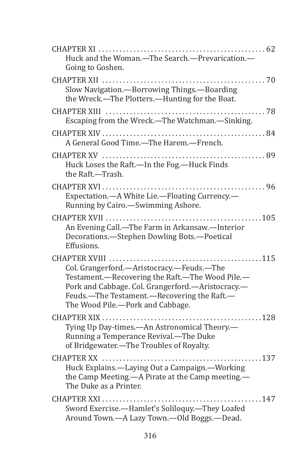| Huck and the Woman.-The Search.-Prevarication.-<br>Going to Goshen.                                                                                                                                                                  |
|--------------------------------------------------------------------------------------------------------------------------------------------------------------------------------------------------------------------------------------|
| Slow Navigation. - Borrowing Things. - Boarding<br>the Wreck.-The Plotters.-Hunting for the Boat.                                                                                                                                    |
| Escaping from the Wreck.—The Watchman.—Sinking.                                                                                                                                                                                      |
| A General Good Time.—The Harem.—French.                                                                                                                                                                                              |
| Huck Loses the Raft.—In the Fog.—Huck Finds<br>the Raft.-Trash.                                                                                                                                                                      |
| Expectation.- A White Lie.-Floating Currency.-<br>Running by Cairo.-Swimming Ashore.                                                                                                                                                 |
| An Evening Call.-The Farm in Arkansaw.-Interior<br>Decorations.-Stephen Dowling Bots.-Poetical<br>Effusions.                                                                                                                         |
| Col. Grangerford.-Aristocracy.-Feuds.-The<br>Testament.-Recovering the Raft.-The Wood Pile.-<br>Pork and Cabbage. Col. Grangerford.-Aristocracy.-<br>Feuds.-The Testament.-Recovering the Raft.-<br>The Wood Pile.-Pork and Cabbage. |
| Tying Up Day-times.- An Astronomical Theory.-<br>Running a Temperance Revival.-The Duke<br>of Bridgewater.-The Troubles of Royalty.                                                                                                  |
| Huck Explains.-Laying Out a Campaign.-Working<br>the Camp Meeting.—A Pirate at the Camp meeting.—<br>The Duke as a Printer.                                                                                                          |
| Sword Exercise.-Hamlet's Soliloquy.-They Loafed<br>Around Town.-A Lazy Town.-Old Boggs.-Dead.                                                                                                                                        |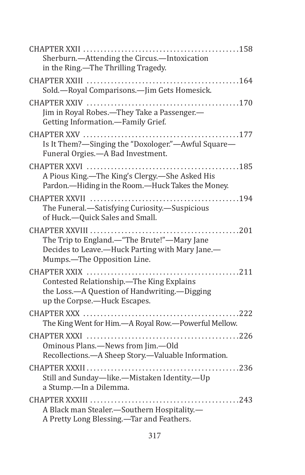| Sherburn.-Attending the Circus.-Intoxication<br>in the Ring.-The Thrilling Tragedy.                                           |
|-------------------------------------------------------------------------------------------------------------------------------|
| Sold.-Royal Comparisons.- Jim Gets Homesick.                                                                                  |
| Jim in Royal Robes.—They Take a Passenger.—<br>Getting Information.-Family Grief.                                             |
| Is It Them?-Singing the "Doxologer."-Awful Square-<br>Funeral Orgies.-A Bad Investment.                                       |
| A Pious King.-The King's Clergy.-She Asked His<br>Pardon.-Hiding in the Room.-Huck Takes the Money.                           |
| The Funeral.-Satisfying Curiosity.-Suspicious<br>of Huck.-Quick Sales and Small.                                              |
| The Trip to England.-"The Brute!"-Mary Jane<br>Decides to Leave.-Huck Parting with Mary Jane.-<br>Mumps.-The Opposition Line. |
| Contested Relationship.-The King Explains<br>the Loss.-A Question of Handwriting.-Digging<br>up the Corpse.-Huck Escapes.     |
| The King Went for Him.—A Royal Row.—Powerful Mellow.                                                                          |
| Ominous Plans.-News from Jim.-Old<br>Recollections.- A Sheep Story.-Valuable Information.                                     |
| Still and Sunday-like.-Mistaken Identity.-Up<br>a Stump.-In a Dilemma.                                                        |
| A Black man Stealer.-Southern Hospitality.-<br>A Pretty Long Blessing.-Tar and Feathers.                                      |